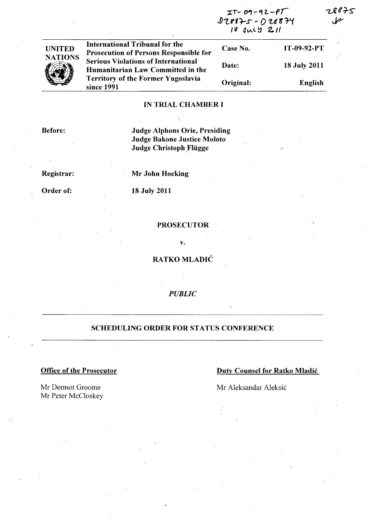$IT-09-92-PT$ ~1..lff1-s - *01...t'KJ-'t /'i* ~IAL~ 2.1f

/

28チ5



**Case No.** Prosecution of Persons Responsible for . Case No. International Tribunal for the Case No. IT-09-92-PT Serious Violations of International Humanitarian Law Committed in the Territory of the Former Yugoslavia since 1991 Date: Original: 18 July 2011 English

# IN TRIAL CHAMBER I

Before:

Judge Alphons Orie, Presiding Judge Bakone Justice Moloto Judge Christoph Flügge

Registrar:

Mr John Hocking

Order of:

18 July 2011

### PROSECUTOR

v.

RATKO MLADIĆ

*PUBLIC* 

# SCHEDULING ORDER FOR STATUS CONFERENCE

Mr Dermot Groome Mr Peter McCloskey

**Office of the Prosecutor Duty Counsel for Ratko Mladić** 

Mr Aleksandar Aleksic